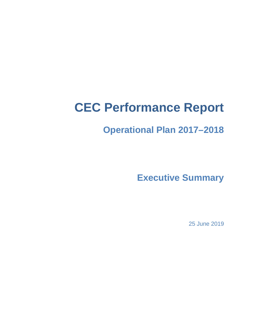# **CEC Performance Report**

## **Operational Plan 2017–2018**

**Executive Summary**

25 June 2019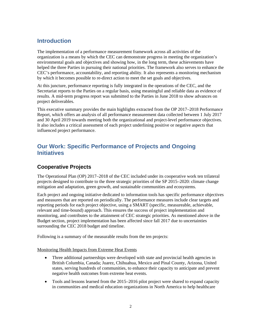## **Introduction**

The implementation of a performance measurement framework across all activities of the organization is a means by which the CEC can demonstrate progress in meeting the organization's environmental goals and objectives and showing how, in the long term, these achievements have helped the three Parties in pursuing their national priorities. The framework also serves to enhance the CEC's performance, accountability, and reporting ability. It also represents a monitoring mechanism by which it becomes possible to re-direct action to meet the set goals and objectives.

At this juncture, performance reporting is fully integrated in the operations of the CEC, and the Secretariat reports to the Parties on a regular basis, using meaningful and reliable data as evidence of results. A mid-term progress report was submitted to the Parties in June 2018 to show advances on project deliverables.

This executive summary provides the main highlights extracted from the OP 2017–2018 Performance Report, which offers an analysis of all performance measurement data collected between 1 July 2017 and 30 April 2019 towards meeting both the organizational and project-level performance objectives. It also includes a critical assessment of each project underlining positive or negative aspects that influenced project performance.

## **Our Work: Specific Performance of Projects and Ongoing Initiatives**

### **Cooperative Projects**

The Operational Plan (OP) 2017–2018 of the CEC included under its cooperative work ten trilateral projects designed to contribute to the three strategic priorities of the SP 2015–2020: climate change mitigation and adaptation, green growth, and sustainable communities and ecosystems.

Each project and ongoing initiative dedicated to information tools has specific performance objectives and measures that are reported on periodically. The performance measures include clear targets and reporting periods for each project objective, using a SMART (specific, measureable, achievable, relevant and time-bound) approach. This ensures the success of project implementation and monitoring, and contributes to the attainment of CEC strategic priorities. As mentioned above in the Budget section, project implementation has been affected since fall 2017 due to uncertainties surrounding the CEC 2018 budget and timeline.

Following is a summary of the measurable results from the ten projects:

#### Monitoring Health Impacts from Extreme Heat Events

- Three additional partnerships were developed with state and provincial health agencies in British Columbia, Canada; Juarez, Chihuahua, Mexico and Pinal County, Arizona, United states, serving hundreds of communities, to enhance their capacity to anticipate and prevent negative health outcomes from extreme heat events.
- Tools and lessons learned from the 2015–2016 pilot project were shared to expand capacity in communities and medical education organizations in North America to help healthcare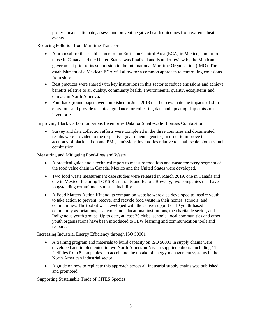professionals anticipate, assess, and prevent negative health outcomes from extreme heat events.

#### Reducing Pollution from Maritime Transport

- A proposal for the establishment of an Emission Control Area (ECA) in Mexico, similar to those in Canada and the United States, was finalized and is under review by the Mexican government prior to its submission to the International Maritime Organization (IMO). The establishment of a Mexican ECA will allow for a common approach to controlling emissions from ships.
- Best practices were shared with key institutions in this sector to reduce emissions and achieve benefits relative to air quality, community health, environmental quality, ecosystems and climate in North America.
- Four background papers were published in June 2018 that help evaluate the impacts of ship emissions and provide technical guidance for collecting data and updating ship emissions inventories.

#### Improving Black Carbon Emissions Inventories Data for Small-scale Biomass Combustion

• Survey and data collection efforts were completed in the three countries and documented results were provided to the respective government agencies, in order to improve the accuracy of black carbon and  $PM_{2,5}$  emissions inventories relative to small-scale biomass fuel combustion.

#### Measuring and Mitigating Food-Loss and Waste

- A practical guide and a technical report to measure food loss and waste for every segment of the food value chain in Canada, Mexico and the United States were developed.
- Two food waste measurement case studies were released in March 2019, one in Canada and one in Mexico, featuring TOKS Restaurants and Beau's Brewery, two companies that have longstanding commitments to sustainability.
- A Food Matters Action Kit and its companion [website](http://www3.cec.org/flwy) were also developed to inspire youth to take action to prevent, recover and recycle food waste in their homes, schools, and communities. The toolkit was developed with the active support of 10 youth-based community associations, academic and educational institutions, the charitable sector, and Indigenous youth groups. Up to date, at least 30 clubs, schools, local communities and other youth organizations have been introduced to FLW learning and communication tools and resources.

#### Increasing Industrial Energy Efficiency through ISO 50001

- A training program and materials to build capacity on ISO 50001 in supply chains were developed and implemented in two North American Nissan supplier cohorts–including 11 facilities from 8 companies– to accelerate the uptake of energy management systems in the North American industrial sector.
- A guide on how to replicate this approach across all industrial supply chains was published and promoted.

#### Supporting Sustainable Trade of CITES Species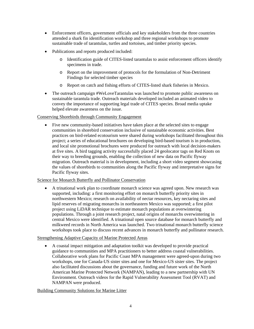- Enforcement officers, government officials and key stakeholders from the three countries attended a shark fin identification workshop and three regional workshops to promote sustainable trade of tarantulas, turtles and tortoises, and timber priority species.
- Publications and reports produced included:
	- o Identification guide of CITES-listed tarantulas to assist enforcement officers identify specimens in trade.
	- o Report on the improvement of protocols for the formulation of Non-Detriment Findings for selected timber species
	- o Report on catch and fishing efforts of CITES-listed shark fisheries in Mexico.
- The outreach campaign #WeLoveTarantulas was launched to promote public awareness on sustainable tarantula trade. Outreach materials developed included an animated video to convey the importance of supporting legal trade of CITES species. Broad media uptake helped elevate awareness on the issue.

#### Conserving Shorebirds through Community Engagement

• Five new community-based initiatives have taken place at the selected sites to engage communities in shorebird conservation inclusive of sustainable economic activities. Best practices on bird-related ecotourism were shared during workshops facilitated throughout this project; a series of educational brochures on developing bird-based tourism is in production, and local site promotional brochures were produced for outreach with local decision-makers at five sites. A bird tagging activity successfully placed 24 geolocator tags on Red Knots on their way to breeding grounds, enabling the collection of new data on Pacific flyway migration. Outreach material is in development, including a short video segment showcasing the values of shorebirds to communities along the Pacific flyway and interpretative signs for Pacific flyway sites.

#### Science for Monarch Butterfly and Pollinator Conservation

• A trinational work plan to coordinate monarch science was agreed upon. New research was supported, including: a first monitoring effort on monarch butterfly priority sites in northwestern Mexico; research on availability of nectar resources, key nectaring sites and lipid reserves of migrating monarchs in northeastern Mexico was supported; a first pilot project using LiDAR technique to estimate monarch populations at overwintering populations. Through a joint research project, natal origins of monarchs overwintering in central Mexico were identified. A trinational open source database for monarch butterfly and milkweed records in North America was launched. Two trinational monarch butterfly science workshops took place to discuss recent advances in monarch butterfly and pollinator research.

#### Strengthening Adaptive Capacity of Marine Protected Areas

• A coastal impact mitigation and adaptation toolkit was developed to provide practical guidance to communities and MPA practitioners to better address coastal vulnerabilities. Collaborative work plans for Pacific Coast MPA management were agreed-upon during two workshops, one for Canada-US sister sites and one for Mexico-US sister sites. The project also facilitated discussions about the governance, funding and future work of the North American Marine Protected Network (NAMPAN), leading to a new partnership with UN Environment. Outreach videos for the Rapid Vulnerability Assessment Tool (RVAT) and NAMPAN were produced.

#### Building Community Solutions for Marine Litter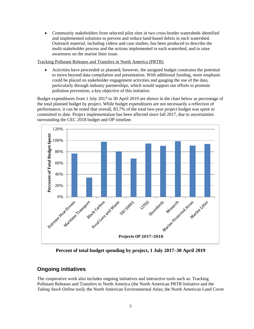• Community stakeholders from selected pilot sites in two cross-border watersheds identified and implemented solutions to prevent and reduce land-based debris in each watershed. Outreach material, including videos and case studies, has been produced to describe the multi-stakeholder process and the actions implemented in each watershed, and to raise awareness on the marine litter issue.

Tracking Pollutant Releases and Transfers in North America (PRTR)

• Activities have proceeded as planned; however, the assigned budget constrains the potential to move beyond data compilation and presentation. With additional funding, more emphasis could be placed on stakeholder engagement activities and gauging the use of the data, particularly through industry partnerships, which would support our efforts to promote pollution prevention, a key objective of this initiative.

Budget expenditures from 1 July 2017 to 30 April 2019 are shown in the chart below as percentage of the total planned budget by project. While budget expenditures are not necessarily a reflection of performance, it can be noted that overall, 83.7% of the total two-year project budget was spent or committed to date. Project implementation has been affected since fall 2017, due to uncertainties surrounding the CEC 2018 budget and OP timeline.



**Percent of total budget spending by project, 1 July 2017–30 April 2019**

## **Ongoing initiatives**

The cooperative work also includes ongoing initiatives and interactive tools such as: Tracking Pollutant Releases and Transfers in North America (the North American PRTR Initiative and the *Taking Stock Online* tool); the North American Environmental Atlas; the North American Land Cover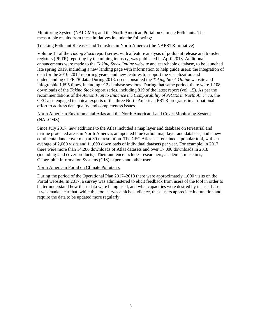Monitoring System (NALCMS); and the North American Portal on Climate Pollutants. The measurable results from these initiatives include the following:

#### Tracking Pollutant Releases and Transfers in North America (the NAPRTR Initiative)

Volume 15 of the *Taking Stock* report series, with a feature analysis of pollutant release and transfer registers (PRTR) reporting by the mining industry, was published in April 2018. Additional enhancements were made to the *Taking Stock Online* website and searchable database, to be launched late spring 2019, including a new landing page with information to help guide users; the integration of data for the 2016–2017 reporting years; and new features to support the visualization and understanding of PRTR data. During 2018, users consulted the *Taking Stock Online* website and infographic 1,695 times, including 912 database sessions. During that same period, there were 1,108 downloads of the *Taking Stock* report series, including 819 of the latest report (vol. 15). As per the recommendations of the *Action Plan to Enhance the Comparability of PRTRs in North America*, the CEC also engaged technical experts of the three North American PRTR programs in a trinational effort to address data quality and completeness issues.

#### North American Environmental Atlas and the North American Land Cover Monitoring System (NALCMS)

Since July 2017, new additions to the Atlas included a map layer and database on terrestrial and marine protected areas in North America, an updated blue carbon map layer and database, and a new continental land cover map at 30 m resolution. The CEC Atlas has remained a popular tool, with an average of 2,000 visits and 11,000 downloads of individual datasets per year. For example, in 2017 there were more than 14,200 downloads of Atlas datasets and over 17,000 downloads in 2018 (including land cover products). Their audience includes researchers, academia, museums, Geographic Information Systems (GIS) experts and other users

#### North American Portal on Climate Pollutants

During the period of the Operational Plan 2017–2018 there were approximately 1,000 visits on the Portal website. In 2017, a survey was administered to elicit feedback from users of the tool in order to better understand how these data were being used, and what capacities were desired by its user base. It was made clear that, while this tool serves a niche audience, these users appreciate its function and require the data to be updated more regularly.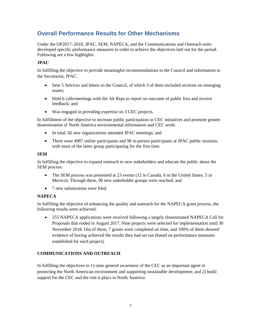## **Overall Performance Results for Other Mechanisms**

Under the OP2017–2018, JPAC, SEM, NAPECA, and the Communications and Outreach units developed specific performance measures in order to achieve the objectives laid out for the period. Following are a few highlights:

#### **JPAC**

In fulfilling the objective to provide meaningful recommendations to the Council and information to the Secretariat, JPAC:

- Sent 5 Advices and letters to the Council, of which 3 of them included sections on emerging issues;
- Held 6 calls/meetings with the Alt Reps to report on outcome of public fora and receive feedback; and
- Was engaged in providing expertise on 3 CEC projects.

In fulfillment of the objective to increase public participation in CEC initiatives and promote greater dissemination of North America environmental information and CEC work:

- In total, 42 new organizations attended JPAC meetings; and
- There were 4987 online participants and 98 in-person participants at JPAC public sessions, with most of the latter group participating for the first time.

#### **SEM**

In fulfilling the objective to expand outreach to new stakeholders and educate the public about the SEM process:

- The SEM process was presented at 23 events (12 in Canada, 6 in the United States, 5 in Mexico). Through these, 90 new stakeholder groups were reached; and
- 7 new submissions were filed.

#### **NAPECA**

In fulfilling the objective of enhancing the quality and outreach for the NAPECA grant process, the following results were achieved:

• 255 NAPECA applications were received following a largely disseminated NAPECA Call for Proposals that ended in August 2017. Nine projects were selected for implementation until 30 November 2018. Out of these, 7 grants were completed on time, and 100% of them showed evidence of having achieved the results they had set out (based on performance measures established for each project).

#### **COMMUNICATIONS AND OUTREACH**

In fulfilling the objectives to 1) raise general awareness of the CEC as an important agent in protecting the North American environment and supporting sustainable development; and 2) build support for the CEC and the role it plays in North America: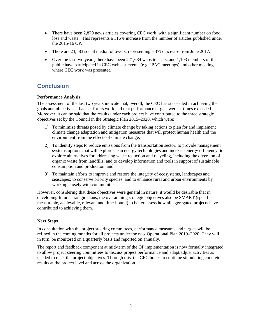- There have been 2,870 news articles covering CEC work, with a significant number on food loss and waste. This represents a 116% increase from the number of articles published under the 2015-16 OP.
- There are 23,583 social media followers, representing a 37% increase from June 2017.
- Over the last two years, there have been 221,684 website users, and 1,103 members of the public have participated in CEC webcast events (e.g. JPAC meetings) and other meetings where CEC work was presented

## **Conclusion**

#### **Performance Analysis**

The assessment of the last two years indicate that, overall, the CEC has succeeded in achieving the goals and objectives it had set for its work and that performance targets were at times exceeded. Moreover, it can be said that the results under each project have contributed to the three strategic objectives set by the Council in the Strategic Plan 2015–2020, which were:

- 1) To minimize threats posed by climate change by taking actions to plan for and implement climate change adaptation and mitigation measures that will protect human health and the environment from the effects of climate change;
- 2) To identify steps to reduce emissions from the transportation sector; to provide management systems options that will explore clean energy technologies and increase energy efficiency; to explore alternatives for addressing waste reduction and recycling, including the diversion of organic waste from landfills; and to develop information and tools in support of sustainable consumption and production; and
- 3) To maintain efforts to improve and restore the integrity of ecosystems, landscapes and seascapes; to conserve priority species; and to enhance rural and urban environments by working closely with communities.

However, considering that these objectives were general in nature, it would be desirable that in developing future strategic plans, the overarching strategic objectives also be SMART (specific, measurable, achievable, relevant and time-bound) to better assess how all aggregated projects have contributed to achieving them.

#### **Next Steps**

In consultation with the project steering committees, performance measures and targets will be refined in the coming months for all projects under the new Operational Plan 2019–2020. They will, in turn, be monitored on a quarterly basis and reported on annually.

The report and feedback component at mid-term of the OP implementation is now formally integrated to allow project steering committees to discuss project performance and adapt/adjust activities as needed to meet the project objectives. Through this, the CEC hopes to continue stimulating concrete results at the project level and across the organization.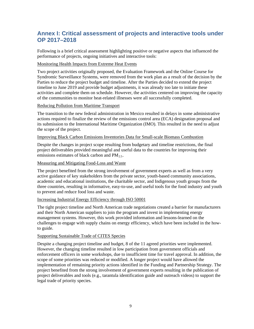## **Annex I: Critical assessment of projects and interactive tools under OP 2017–2018**

Following is a brief critical assessment highlighting positive or negative aspects that influenced the performance of projects, ongoing initiatives and interactive tools:

#### Monitoring Health Impacts from Extreme Heat Events

Two project activities originally proposed, the Evaluation Framework and the Online Course for Syndromic Surveillance Systems, were removed from the work plan as a result of the decision by the Parties to reduce the project budget and timeline. After the Parties decided to extend the project timeline to June 2019 and provide budget adjustments, it was already too late to initiate these activities and complete them on schedule. However, the activities centered on improving the capacity of the communities to monitor heat-related illnesses were all successfully completed.

#### Reducing Pollution from Maritime Transport

The transition to the new federal administration in Mexico resulted in delays in some administrative actions required to finalize the review of the emissions control area (ECA) designation proposal and its submission to the International Maritime Organization (IMO). This resulted in the need to adjust the scope of the project.

#### Improving Black Carbon Emissions Inventories Data for Small-scale Biomass Combustion

Despite the changes in project scope resulting from budgetary and timeline restrictions, the final project deliverables provided meaningful and useful data to the countries for improving their emissions estimates of black carbon and  $PM_{2.5}$ .

#### Measuring and Mitigating Food-Loss and Waste

The project benefited from the strong involvement of government experts as well as from a very active guidance of key stakeholders from the private sector, youth-based community associations, academic and educational institutions, the charitable sector, and Indigenous youth groups from the three countries, resulting in informative, easy-to-use, and useful tools for the food industry and youth to prevent and reduce food loss and waste.

#### Increasing Industrial Energy Efficiency through ISO 50001

The tight project timeline and North American trade negotiations created a barrier for manufacturers and their North American suppliers to join the program and invest in implementing energy management systems. However, this work provided information and lessons-learned on the challenges to engage with supply chains on energy efficiency, which have been included in the howto guide.

#### Supporting Sustainable Trade of CITES Species

Despite a changing project timeline and budget, 8 of the 11 agreed priorities were implemented. However, the changing timeline resulted in low participation from government officials and enforcement officers in some workshops, due to insufficient time for travel approval. In addition, the scope of some priorities was reduced or modified. A longer project would have allowed the implementation of remaining priority actions identified in the Funding and Partnership Strategy. The project benefited from the strong involvement of government experts resulting in the publication of project deliverables and tools (e.g., tarantula identification guide and outreach videos) to support the legal trade of priority species.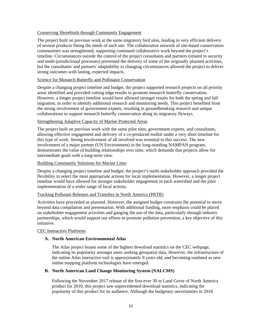#### Conserving Shorebirds through Community Engagement

The project built on previous work at the same migratory bird sites, leading to very efficient delivery of several products fitting the needs of each site. The collaborative network of site-based conservation communities was strengthened, supporting continued collaborative work beyond the project's timeline. Circumstances outside the control of the project consultants and partners (related to security and multi-jurisdictional processes) prevented the delivery of some of the originally planned activities, but the consultants' and partners' adaptability to changing circumstances allowed the project to deliver strong outcomes with lasting, expected impacts.

#### Science for Monarch Butterfly and Pollinator Conservation

Despite a changing project timeline and budget, the project supported research projects on all priority areas identified and provided cutting edge results to promote monarch butterfly conservation. However, a longer project timeline would have allowed stronger results for both the spring and fall migration, in order to identify additional research and monitoring needs. This project benefited from the strong involvement of government experts, resulting in groundbreaking research and unique collaborations to support monarch butterfly conservation along its migratory flyways.

#### Strengthening Adaptive Capacity of Marine Protected Areas

The project built on previous work with the same pilot sites, government experts, and consultants, allowing effective engagement and delivery of a co-produced toolkit under a very short timeline for this type of work. Strong involvement of all involved was essential to this success. The new involvement of a major partner (UN Environment) in the long-standing NAMPAN program, demonstrates the value of building relationships over time, which demands that projects allow for intermediate goals with a long-term view.

#### Building Community Solutions for Marine Litter

Despite a changing project timeline and budget, the project's multi-stakeholder approach provided the flexibility to select the most appropriate actions for local implementation. However, a longer project timeline would have allowed for stronger stakeholder engagement in each watershed and the pilot implementation of a wider range of local actions.

#### Tracking Pollutant Releases and Transfers in North America (PRTR)

Activities have proceeded as planned. However, the assigned budget constrains the potential to move beyond data compilation and presentation. With additional funding, more emphasis could be placed on stakeholder engagement activities and gauging the use of the data, particularly through industry partnerships, which would support our efforts to promote pollution prevention, a key objective of this initiative.

#### CEC Interactive Platforms

#### **A. North American Environmental Atlas**

The Atlas project boasts some of the highest download statistics on the CEC webpage, indicating its popularity amongst users seeking geospatial data. However, the infrastructure of the online Atlas interactive tool is approximately 8 years old, and becoming outdated as new online mapping platform technologies have emerged.

#### **B. North American Land Change Monitoring System (NALCMS)**

Following the November 2017 release of the first-ever 30 m Land Cover of North America product for 2010, this project saw unprecedented download statistics, indicating the popularity of this product for its audience. Although the budgetary uncertainties in 2018